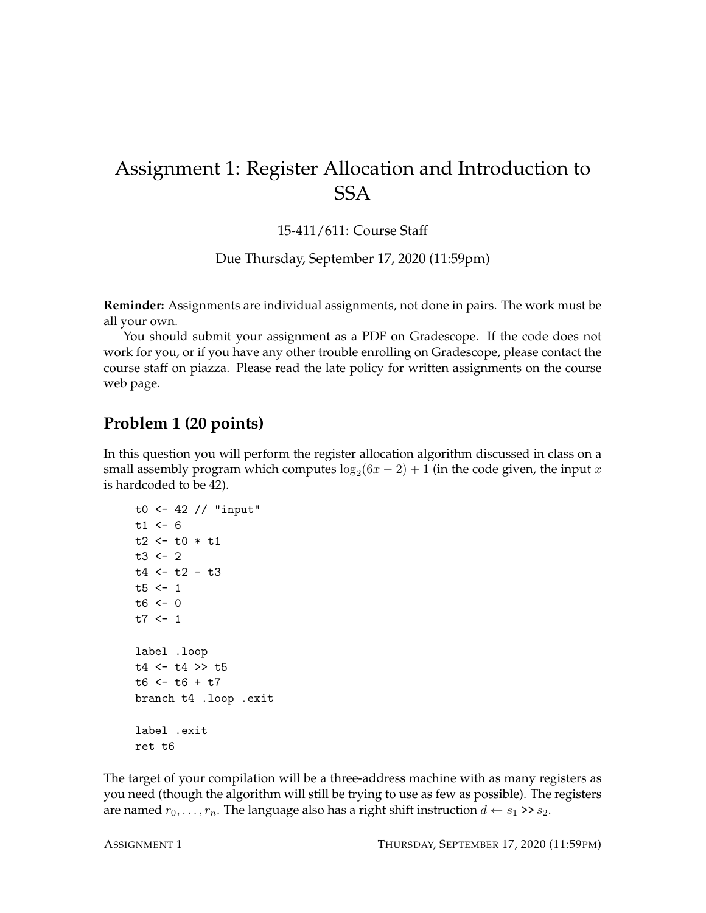# Assignment 1: Register Allocation and Introduction to **SSA**

15-411/611: Course Staff

Due Thursday, September 17, 2020 (11:59pm)

**Reminder:** Assignments are individual assignments, not done in pairs. The work must be all your own.

You should submit your assignment as a PDF on Gradescope. If the code does not work for you, or if you have any other trouble enrolling on Gradescope, please contact the course staff on piazza. Please read the late policy for written assignments on the course web page.

#### **Problem 1 (20 points)**

In this question you will perform the register allocation algorithm discussed in class on a small assembly program which computes  $\log_2(6x-2)+1$  (in the code given, the input  $x$ is hardcoded to be 42).

```
t0 <- 42 // "input"
t1 < -6t2 < -t0 * t1t3 < -2t4 <- t2 - t3t5 < -1t6 < -0t7 < -1label .loop
t4 <- t4 >> t5
t6 < -t6 + t7branch t4 .loop .exit
label .exit
ret t6
```
The target of your compilation will be a three-address machine with as many registers as you need (though the algorithm will still be trying to use as few as possible). The registers are named  $r_0, \ldots, r_n$ . The language also has a right shift instruction  $d \leftarrow s_1 \rightarrow s_2$ .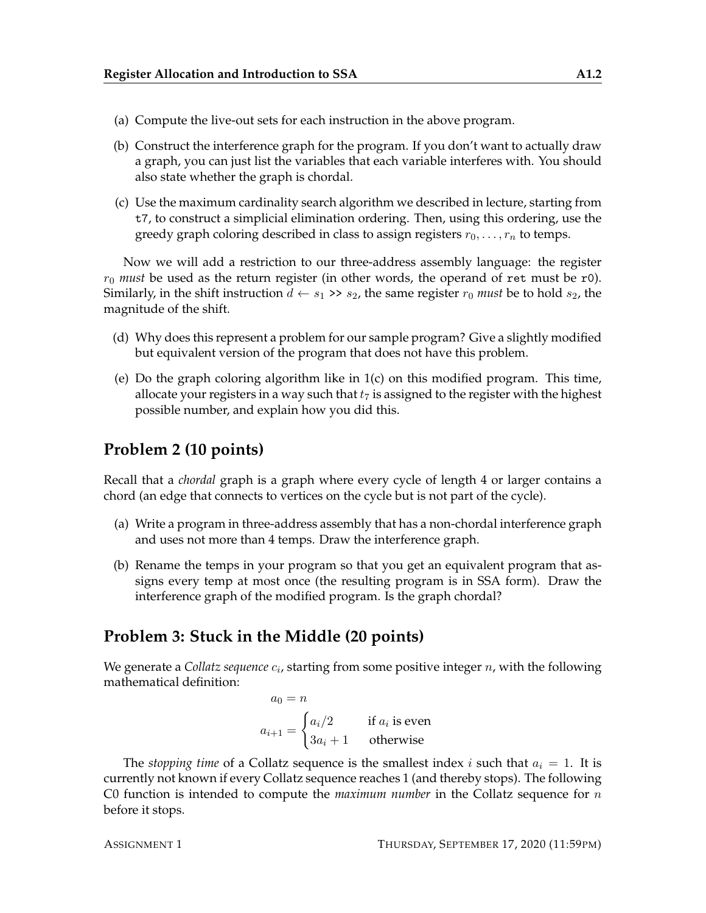- (a) Compute the live-out sets for each instruction in the above program.
- (b) Construct the interference graph for the program. If you don't want to actually draw a graph, you can just list the variables that each variable interferes with. You should also state whether the graph is chordal.
- (c) Use the maximum cardinality search algorithm we described in lecture, starting from t7, to construct a simplicial elimination ordering. Then, using this ordering, use the greedy graph coloring described in class to assign registers  $r_0, \ldots, r_n$  to temps.

Now we will add a restriction to our three-address assembly language: the register  $r_0$  *must* be used as the return register (in other words, the operand of ret must be r0). Similarly, in the shift instruction  $d \leftarrow s_1 \rightarrow s_2$ , the same register  $r_0$  *must* be to hold  $s_2$ , the magnitude of the shift.

- (d) Why does this represent a problem for our sample program? Give a slightly modified but equivalent version of the program that does not have this problem.
- (e) Do the graph coloring algorithm like in  $1(c)$  on this modified program. This time, allocate your registers in a way such that  $t_7$  is assigned to the register with the highest possible number, and explain how you did this.

### **Problem 2 (10 points)**

Recall that a *chordal* graph is a graph where every cycle of length 4 or larger contains a chord (an edge that connects to vertices on the cycle but is not part of the cycle).

- (a) Write a program in three-address assembly that has a non-chordal interference graph and uses not more than 4 temps. Draw the interference graph.
- (b) Rename the temps in your program so that you get an equivalent program that assigns every temp at most once (the resulting program is in SSA form). Draw the interference graph of the modified program. Is the graph chordal?

#### **Problem 3: Stuck in the Middle (20 points)**

We generate a Collatz sequence  $c_i$ , starting from some positive integer  $n$ , with the following mathematical definition:

$$
a_0 = n
$$
  
\n
$$
a_{i+1} = \begin{cases} a_i/2 & \text{if } a_i \text{ is even} \\ 3a_i + 1 & \text{otherwise} \end{cases}
$$

The *stopping time* of a Collatz sequence is the smallest index i such that  $a_i = 1$ . It is currently not known if every Collatz sequence reaches 1 (and thereby stops). The following C0 function is intended to compute the *maximum number* in the Collatz sequence for n before it stops.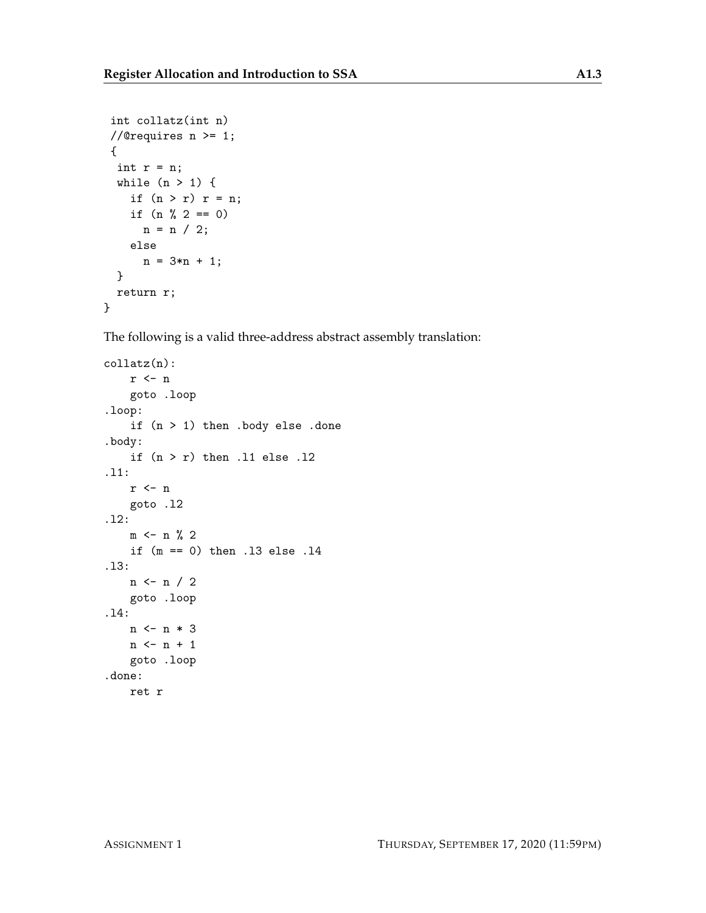```
int collatz(int n)
//@requires n \geq 1;
{
 int r = n;
 while (n > 1) {
   if (n > r) r = n;
    if (n \ \n\% \ 2 == 0)n = n / 2;else
      n = 3*n + 1;}
 return r;
}
```
The following is a valid three-address abstract assembly translation:

```
collatz(n):
    r <- \emph{n}goto .loop
.loop:
    if (n > 1) then .body else .done
.body:
    if (n > r) then .11 else .12
.l1:
    r <- n
    goto .l2
.l2:
    m \le - n \% 2if (m == 0) then .l3 else .l4
.l3:
    n <- n / 2
    goto .loop
.l4:
    n <- n * 3
    n \leftarrow n + 1goto .loop
.done:
    ret r
```